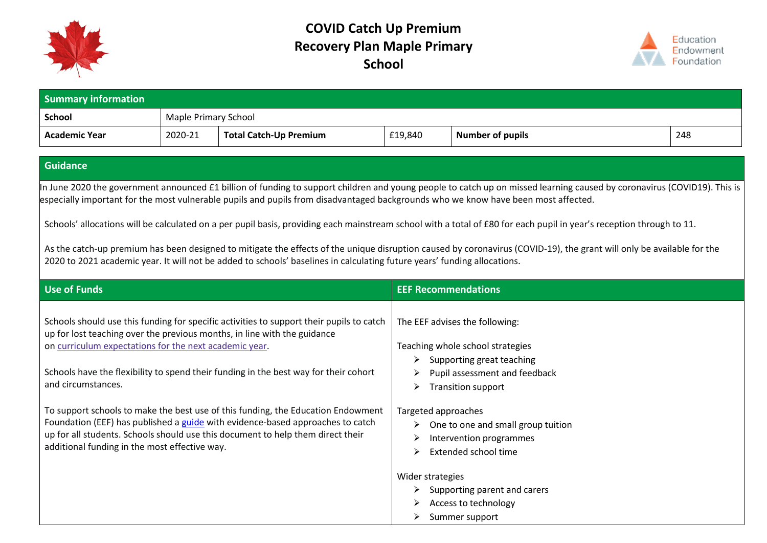



| <b>Summary information</b> |                      |                        |         |                         |     |  |  |
|----------------------------|----------------------|------------------------|---------|-------------------------|-----|--|--|
| School                     | Maple Primary School |                        |         |                         |     |  |  |
| Academic Year              | 2020-21              | Total Catch-Up Premium | £19,840 | <b>Number of pupils</b> | 248 |  |  |

#### **Guidance**

In June 2020 the government announced £1 billion of funding to support children and young people to catch up on missed learning caused by coronavirus (COVID19). This is especially important for the most vulnerable pupils and pupils from disadvantaged backgrounds who we know have been most affected.

Schools' allocations will be calculated on a per pupil basis, providing each mainstream school with a total of £80 for each pupil in year's reception through to 11.

As the catch-up premium has been designed to mitigate the effects of the unique disruption caused by coronavirus (COVID-19), the grant will only be available for the 2020 to 2021 academic year. It will not be added to schools' baselines in calculating future years' funding allocations.

| <b>Use of Funds</b>                                                                                                                                                                                                                                                                                                                          | <b>EEF Recommendations</b>                                                                                                                                              |
|----------------------------------------------------------------------------------------------------------------------------------------------------------------------------------------------------------------------------------------------------------------------------------------------------------------------------------------------|-------------------------------------------------------------------------------------------------------------------------------------------------------------------------|
| Schools should use this funding for specific activities to support their pupils to catch<br>up for lost teaching over the previous months, in line with the guidance<br>on curriculum expectations for the next academic year.<br>Schools have the flexibility to spend their funding in the best way for their cohort<br>and circumstances. | The EEF advises the following:<br>Teaching whole school strategies<br>Supporting great teaching<br>≻<br>Pupil assessment and feedback<br><b>Transition support</b><br>➤ |
| To support schools to make the best use of this funding, the Education Endowment<br>Foundation (EEF) has published a guide with evidence-based approaches to catch<br>up for all students. Schools should use this document to help them direct their<br>additional funding in the most effective way.                                       | Targeted approaches<br>One to one and small group tuition<br>Intervention programmes<br>Extended school time<br>$\triangleright$                                        |
|                                                                                                                                                                                                                                                                                                                                              | Wider strategies<br>Supporting parent and carers<br>➤<br>Access to technology<br>Summer support                                                                         |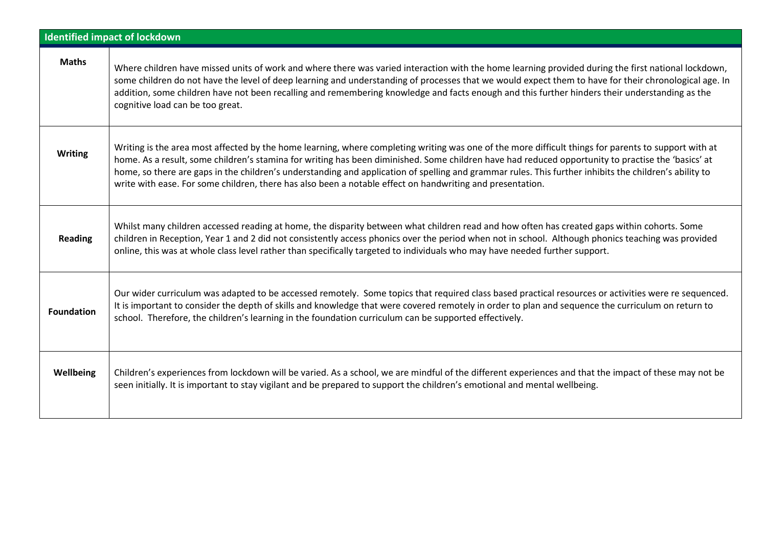| <b>Identified impact of lockdown</b> |                                                                                                                                                                                                                                                                                                                                                                                                                                                                                                                                                                                   |  |  |  |
|--------------------------------------|-----------------------------------------------------------------------------------------------------------------------------------------------------------------------------------------------------------------------------------------------------------------------------------------------------------------------------------------------------------------------------------------------------------------------------------------------------------------------------------------------------------------------------------------------------------------------------------|--|--|--|
| <b>Maths</b>                         | Where children have missed units of work and where there was varied interaction with the home learning provided during the first national lockdown,<br>some children do not have the level of deep learning and understanding of processes that we would expect them to have for their chronological age. In<br>addition, some children have not been recalling and remembering knowledge and facts enough and this further hinders their understanding as the<br>cognitive load can be too great.                                                                                |  |  |  |
| <b>Writing</b>                       | Writing is the area most affected by the home learning, where completing writing was one of the more difficult things for parents to support with at<br>home. As a result, some children's stamina for writing has been diminished. Some children have had reduced opportunity to practise the 'basics' at<br>home, so there are gaps in the children's understanding and application of spelling and grammar rules. This further inhibits the children's ability to<br>write with ease. For some children, there has also been a notable effect on handwriting and presentation. |  |  |  |
| <b>Reading</b>                       | Whilst many children accessed reading at home, the disparity between what children read and how often has created gaps within cohorts. Some<br>children in Reception, Year 1 and 2 did not consistently access phonics over the period when not in school. Although phonics teaching was provided<br>online, this was at whole class level rather than specifically targeted to individuals who may have needed further support.                                                                                                                                                  |  |  |  |
| <b>Foundation</b>                    | Our wider curriculum was adapted to be accessed remotely. Some topics that required class based practical resources or activities were re sequenced.<br>It is important to consider the depth of skills and knowledge that were covered remotely in order to plan and sequence the curriculum on return to<br>school. Therefore, the children's learning in the foundation curriculum can be supported effectively.                                                                                                                                                               |  |  |  |
| Wellbeing                            | Children's experiences from lockdown will be varied. As a school, we are mindful of the different experiences and that the impact of these may not be<br>seen initially. It is important to stay vigilant and be prepared to support the children's emotional and mental wellbeing.                                                                                                                                                                                                                                                                                               |  |  |  |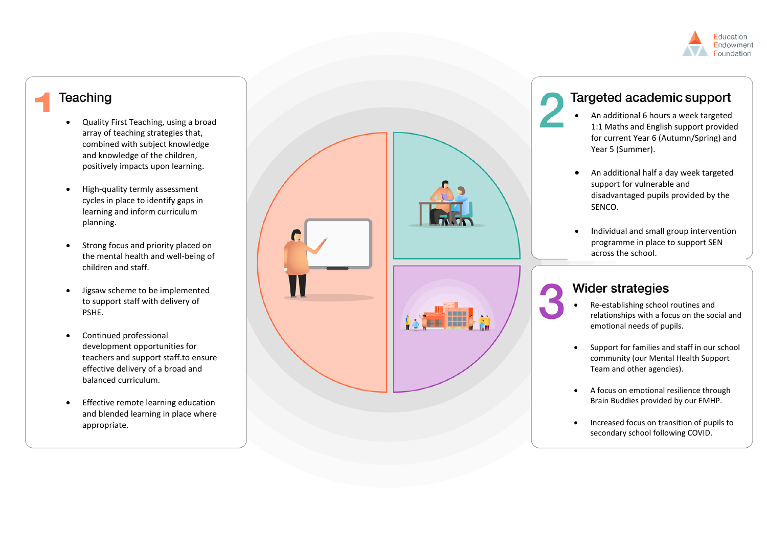

# **Teaching**

- Quality First Teaching, using a broad array of teaching strategies that, combined with subject knowledge and knowledge of the children, positively impacts upon learning.
- High-quality termly assessment cycles in place to identify gaps in learning and inform curriculum planning.
- Strong focus and priority placed on the mental health and well -being of children and staff.
- Jigsaw scheme to be implemented to support staff with delivery of PSHE.
- Continued professional development opportunities for teachers and support staff.to ensure effective delivery of a broad and balance d curriculum .
- **•** Effective remote learning education and blended learning in place where appropriate.



# Targeted academic support

- An additional 6 hours a week targeted 1:1 Maths and English support provided for current Year 6 (Autumn/Spring) and Year 5 (Summer) .
- $\bullet$ An additional half a day week targeted support for vulnerable and disadvantaged pupils provided by the SENCO .
- Individual and small group intervention programme in place to support SEN across the school .

# **Wider strategies**

- Re -establishing school routines and relationships with a focus on the social and emotional needs of pupils.
- Support for families and staff in our school community (our Mental Health Support Team and other agencies).
- A focus on emotional resilience through Brain Buddies provided by our EMHP.
- Increased focus on transition of pupils to secondary school following COVID .